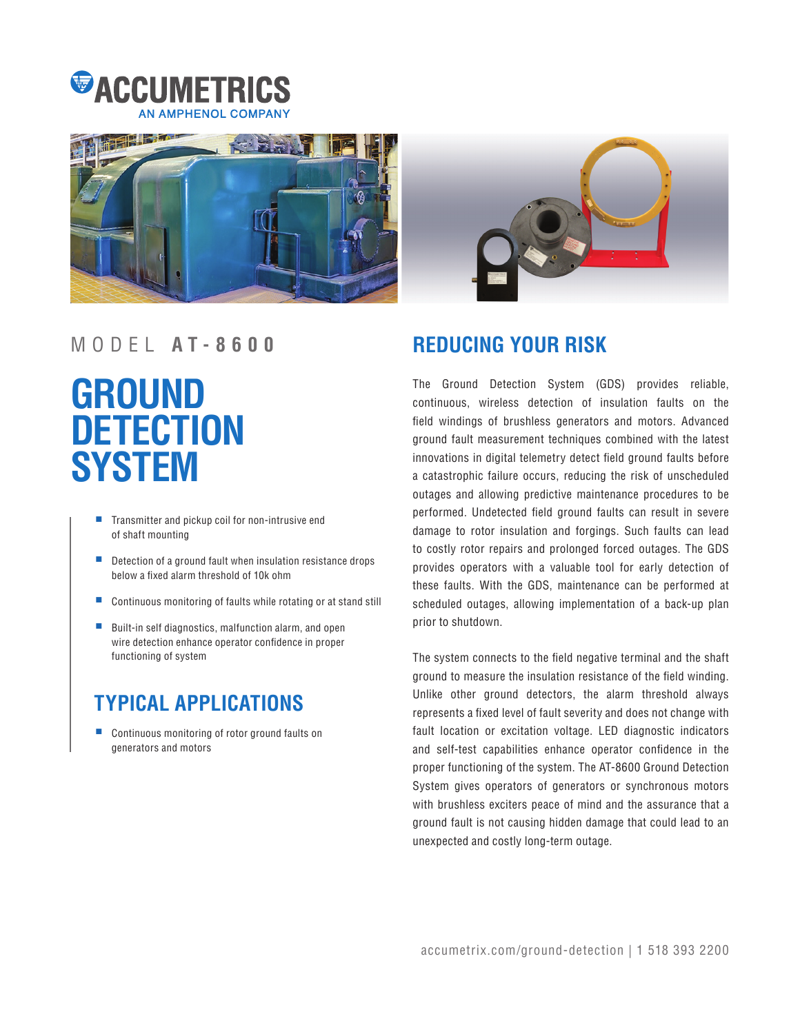





## MODEL **A T - 8 6 0 0 REDUCING YOUR RISK**

# **GROUND DETECTION SYSTEM**

- Transmitter and pickup coil for non-intrusive end of shaft mounting
- Detection of a ground fault when insulation resistance drops below a fixed alarm threshold of 10k ohm
- Continuous monitoring of faults while rotating or at stand still
- Built-in self diagnostics, malfunction alarm, and open wire detection enhance operator confidence in proper functioning of system

## **TYPICAL APPLICATIONS**

Continuous monitoring of rotor ground faults on generators and motors

The Ground Detection System (GDS) provides reliable, continuous, wireless detection of insulation faults on the field windings of brushless generators and motors. Advanced ground fault measurement techniques combined with the latest innovations in digital telemetry detect field ground faults before a catastrophic failure occurs, reducing the risk of unscheduled outages and allowing predictive maintenance procedures to be performed. Undetected field ground faults can result in severe damage to rotor insulation and forgings. Such faults can lead to costly rotor repairs and prolonged forced outages. The GDS provides operators with a valuable tool for early detection of these faults. With the GDS, maintenance can be performed at scheduled outages, allowing implementation of a back-up plan prior to shutdown.

The system connects to the field negative terminal and the shaft ground to measure the insulation resistance of the field winding. Unlike other ground detectors, the alarm threshold always represents a fixed level of fault severity and does not change with fault location or excitation voltage. LED diagnostic indicators and self-test capabilities enhance operator confidence in the proper functioning of the system. The AT-8600 Ground Detection System gives operators of generators or synchronous motors with brushless exciters peace of mind and the assurance that a ground fault is not causing hidden damage that could lead to an unexpected and costly long-term outage.